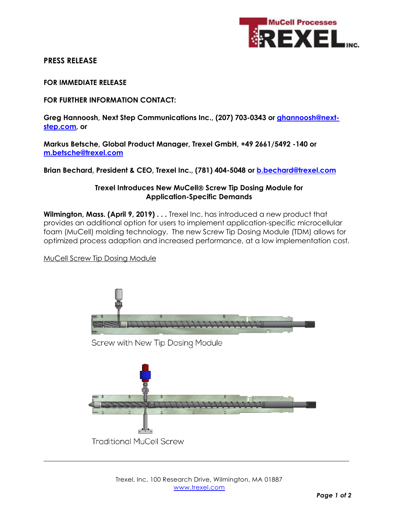

# **PRESS RELEASE**

**FOR IMMEDIATE RELEASE** 

**FOR FURTHER INFORMATION CONTACT:** 

Greg Hannoosh, Next Step Communications Inc., (207) 703-0343 or *ghannoosh@next***step.com, or** 

**Markus Betsche, Global Product Manager, Trexel GmbH, +49 2661/5492 -140 or m.betsche@trexel.com**

**Brian Bechard, President & CEO, Trexel Inc., (781) 404-5048 or b.bechard@trexel.com**

### **Trexel Introduces New MuCell Screw Tip Dosing Module for Application-Specific Demands**

**Wilmington, Mass. (April 9, 2019) . . .** Trexel Inc. has introduced a new product that provides an additional option for users to implement application-specific microcellular foam (MuCell) molding technology. The new Screw Tip Dosing Module (TDM) allows for optimized process adaption and increased performance, at a low implementation cost.

MuCell Screw Tip Dosing Module

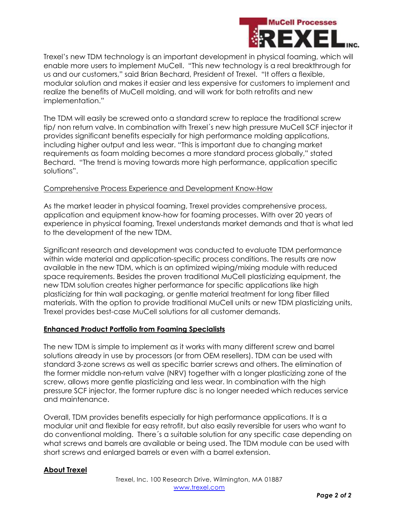

Trexel's new TDM technology is an important development in physical foaming, which will enable more users to implement MuCell. "This new technology is a real breakthrough for us and our customers," said Brian Bechard, President of Trexel. "It offers a flexible, modular solution and makes it easier and less expensive for customers to implement and realize the benefits of MuCell molding, and will work for both retrofits and new implementation."

The TDM will easily be screwed onto a standard screw to replace the traditional screw tip/ non return valve. In combination with Trexel´s new high pressure MuCell SCF injector it provides significant benefits especially for high performance molding applications, including higher output and less wear. "This is important due to changing market requirements as foam molding becomes a more standard process globally," stated Bechard. "The trend is moving towards more high performance, application specific solutions".

#### Comprehensive Process Experience and Development Know-How

As the market leader in physical foaming, Trexel provides comprehensive process, application and equipment know-how for foaming processes. With over 20 years of experience in physical foaming, Trexel understands market demands and that is what led to the development of the new TDM.

Significant research and development was conducted to evaluate TDM performance within wide material and application-specific process conditions. The results are now available in the new TDM, which is an optimized wiping/mixing module with reduced space requirements. Besides the proven traditional MuCell plasticizing equipment, the new TDM solution creates higher performance for specific applications like high plasticizing for thin wall packaging, or gentle material treatment for long fiber filled materials. With the option to provide traditional MuCell units or new TDM plasticizing units, Trexel provides best-case MuCell solutions for all customer demands.

#### **Enhanced Product Portfolio from Foaming Specialists**

The new TDM is simple to implement as it works with many different screw and barrel solutions already in use by processors (or from OEM resellers). TDM can be used with standard 3-zone screws as well as specific barrier screws and others. The elimination of the former middle non-return valve (NRV) together with a longer plasticizing zone of the screw, allows more gentle plasticizing and less wear. In combination with the high pressure SCF injector, the former rupture disc is no longer needed which reduces service and maintenance.

Overall, TDM provides benefits especially for high performance applications. It is a modular unit and flexible for easy retrofit, but also easily reversible for users who want to do conventional molding. There´s a suitable solution for any specific case depending on what screws and barrels are available or being used. The TDM module can be used with short screws and enlarged barrels or even with a barrel extension.

## **About Trexel**